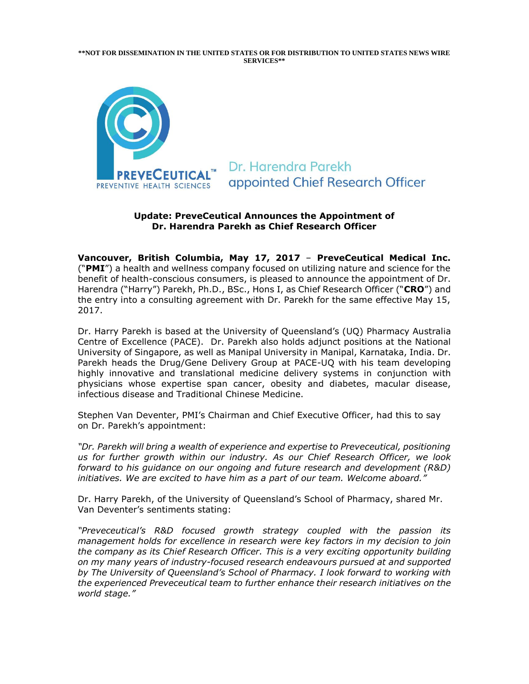**\*\*NOT FOR DISSEMINATION IN THE UNITED STATES OR FOR DISTRIBUTION TO UNITED STATES NEWS WIRE SERVICES\*\***



Dr. Harendra Parekh appointed Chief Research Officer

## **Update: PreveCeutical Announces the Appointment of Dr. Harendra Parekh as Chief Research Officer**

**Vancouver, British Columbia, May 17, 2017** – **PreveCeutical Medical Inc.** ("**PMI**") a health and wellness company focused on utilizing nature and science for the benefit of health-conscious consumers, is pleased to announce the appointment of Dr. Harendra ("Harry") Parekh, Ph.D., BSc., Hons I, as Chief Research Officer ("**CRO**") and the entry into a consulting agreement with Dr. Parekh for the same effective May 15, 2017.

Dr. Harry Parekh is based at the University of Queensland's (UQ) Pharmacy Australia Centre of Excellence (PACE). Dr. Parekh also holds adjunct positions at the National University of Singapore, as well as Manipal University in Manipal, Karnataka, India. Dr. Parekh heads the Drug/Gene Delivery Group at PACE-UQ with his team developing highly innovative and translational medicine delivery systems in conjunction with physicians whose expertise span cancer, obesity and diabetes, macular disease, infectious disease and Traditional Chinese Medicine.

Stephen Van Deventer, PMI's Chairman and Chief Executive Officer, had this to say on Dr. Parekh's appointment:

*"Dr. Parekh will bring a wealth of experience and expertise to Preveceutical, positioning us for further growth within our industry. As our Chief Research Officer, we look forward to his guidance on our ongoing and future research and development (R&D) initiatives. We are excited to have him as a part of our team. Welcome aboard."*

Dr. Harry Parekh, of the University of Queensland's School of Pharmacy, shared Mr. Van Deventer's sentiments stating:

*"Preveceutical's R&D focused growth strategy coupled with the passion its management holds for excellence in research were key factors in my decision to join the company as its Chief Research Officer. This is a very exciting opportunity building on my many years of industry-focused research endeavours pursued at and supported by The University of Queensland's School of Pharmacy. I look forward to working with the experienced Preveceutical team to further enhance their research initiatives on the world stage."*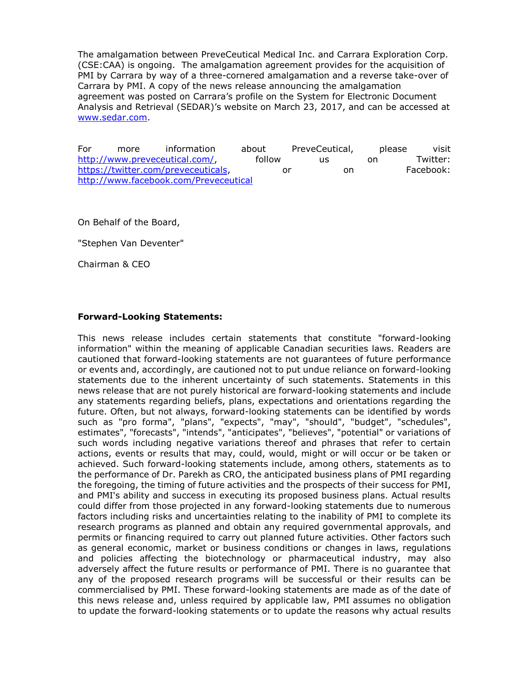The amalgamation between PreveCeutical Medical Inc. and Carrara Exploration Corp. (CSE:CAA) is ongoing. The amalgamation agreement provides for the acquisition of PMI by Carrara by way of a three-cornered amalgamation and a reverse take-over of Carrara by PMI. A copy of the news release announcing the amalgamation agreement was posted on Carrara's profile on the System for Electronic Document Analysis and Retrieval (SEDAR)'s website on March 23, 2017, and can be accessed at [www.sedar.com.](http://www.sedar.com/)

For more information about PreveCeutical, please visit [http://www.preveceutical.com/,](http://www.preveceutical.com/) follow us on Twitter: [https://twitter.com/preveceuticals,](https://twitter.com/preveceuticals) or on Facebook: <http://www.facebook.com/Preveceutical>

On Behalf of the Board,

"Stephen Van Deventer"

Chairman & CEO

## **Forward-Looking Statements:**

This news release includes certain statements that constitute "forward-looking information" within the meaning of applicable Canadian securities laws. Readers are cautioned that forward-looking statements are not guarantees of future performance or events and, accordingly, are cautioned not to put undue reliance on forward-looking statements due to the inherent uncertainty of such statements. Statements in this news release that are not purely historical are forward-looking statements and include any statements regarding beliefs, plans, expectations and orientations regarding the future. Often, but not always, forward-looking statements can be identified by words such as "pro forma", "plans", "expects", "may", "should", "budget", "schedules", estimates", "forecasts", "intends", "anticipates", "believes", "potential" or variations of such words including negative variations thereof and phrases that refer to certain actions, events or results that may, could, would, might or will occur or be taken or achieved. Such forward-looking statements include, among others, statements as to the performance of Dr. Parekh as CRO, the anticipated business plans of PMI regarding the foregoing, the timing of future activities and the prospects of their success for PMI, and PMI's ability and success in executing its proposed business plans. Actual results could differ from those projected in any forward-looking statements due to numerous factors including risks and uncertainties relating to the inability of PMI to complete its research programs as planned and obtain any required governmental approvals, and permits or financing required to carry out planned future activities. Other factors such as general economic, market or business conditions or changes in laws, regulations and policies affecting the biotechnology or pharmaceutical industry, may also adversely affect the future results or performance of PMI. There is no guarantee that any of the proposed research programs will be successful or their results can be commercialised by PMI. These forward-looking statements are made as of the date of this news release and, unless required by applicable law, PMI assumes no obligation to update the forward-looking statements or to update the reasons why actual results